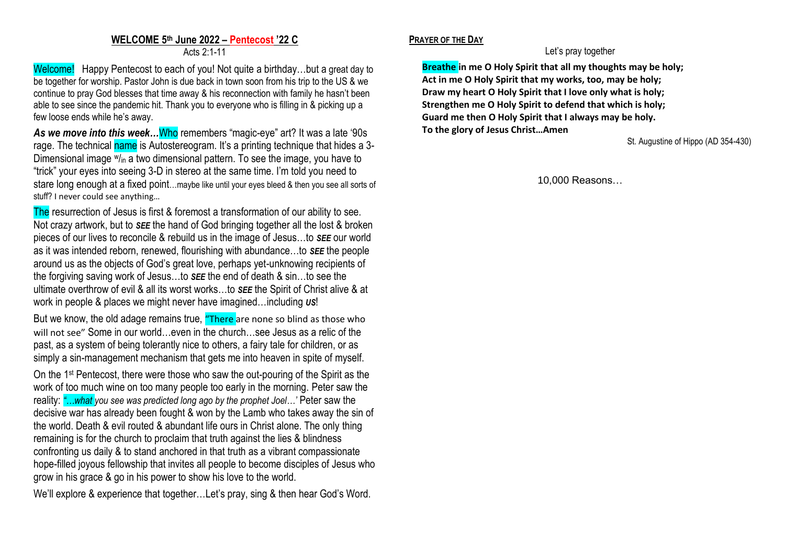## **WELCOME 5 th June 2022 – Pentecost '22 C** Acts 2:1-11

Welcome! Happy Pentecost to each of you! Not quite a birthday...but a great day to be together for worship. Pastor John is due back in town soon from his trip to the US & we continue to pray God blesses that time away & his reconnection with family he hasn't been able to see since the pandemic hit. Thank you to everyone who is filling in & picking up a few loose ends while he's away.

*As we move into this week…*Who remembers "magic-eye" art? It was a late '90s rage. The technical name is Autostereogram. It's a printing technique that hides a 3-Dimensional image  $w_{lin}$  a two dimensional pattern. To see the image, you have to "trick" your eyes into seeing 3-D in stereo at the same time. I'm told you need to stare long enough at a fixed point…maybe like until your eyes bleed & then you see all sorts of stuff? I never could see anything…

The resurrection of Jesus is first & foremost a transformation of our ability to see. Not crazy artwork, but to *SEE* the hand of God bringing together all the lost & broken pieces of our lives to reconcile & rebuild us in the image of Jesus…to *SEE* our world as it was intended reborn, renewed, flourishing with abundance…to *SEE* the people around us as the objects of God's great love, perhaps yet-unknowing recipients of the forgiving saving work of Jesus…to *SEE* the end of death & sin…to see the ultimate overthrow of evil & all its worst works…to *SEE* the Spirit of Christ alive & at work in people & places we might never have imagined…including *US*!

But we know, the old adage remains true, "There are none so blind as those who will not see" Some in our world…even in the church…see Jesus as a relic of the past, as a system of being tolerantly nice to others, a fairy tale for children, or as simply a sin-management mechanism that gets me into heaven in spite of myself.

On the 1st Pentecost, there were those who saw the out-pouring of the Spirit as the work of too much wine on too many people too early in the morning. Peter saw the reality: *"…what you see was predicted long ago by the prophet Joel…'* Peter saw the decisive war has already been fought & won by the Lamb who takes away the sin of the world. Death & evil routed & abundant life ours in Christ alone. The only thing remaining is for the church to proclaim that truth against the lies & blindness confronting us daily & to stand anchored in that truth as a vibrant compassionate hope-filled joyous fellowship that invites all people to become disciples of Jesus who grow in his grace & go in his power to show his love to the world.

We'll explore & experience that together…Let's pray, sing & then hear God's Word.

## **PRAYER OF THE DAY**

Let's pray together

**Breathe in me O Holy Spirit that all my thoughts may be holy; Act in me O Holy Spirit that my works, too, may be holy; Draw my heart O Holy Spirit that I love only what is holy; Strengthen me O Holy Spirit to defend that which is holy; Guard me then O Holy Spirit that I always may be holy. To the glory of Jesus Christ…Amen**

St. Augustine of Hippo (AD 354-430)

10,000 Reasons…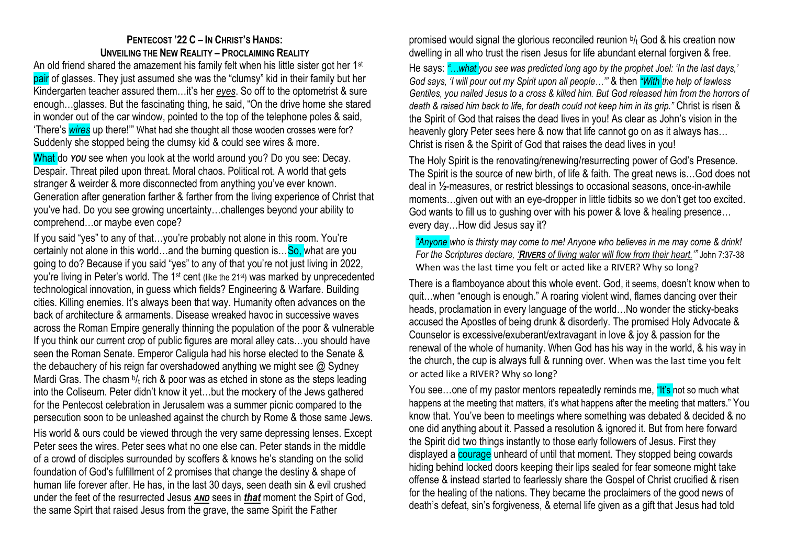## **PENTECOST '22 C – IN CHRIST'S HANDS: UNVEILING THE NEW REALITY – PROCLAIMING REALITY**

An old friend shared the amazement his family felt when his little sister got her 1<sup>st</sup> pair of glasses. They just assumed she was the "clumsy" kid in their family but her Kindergarten teacher assured them…it's her *eyes*. So off to the optometrist & sure enough…glasses. But the fascinating thing, he said, "On the drive home she stared in wonder out of the car window, pointed to the top of the telephone poles & said, 'There's *wires* up there!'" What had she thought all those wooden crosses were for? Suddenly she stopped being the clumsy kid & could see wires & more.

What do *YOU* see when you look at the world around you? Do you see: Decay. Despair. Threat piled upon threat. Moral chaos. Political rot. A world that gets stranger & weirder & more disconnected from anything you've ever known. Generation after generation farther & farther from the living experience of Christ that you've had. Do you see growing uncertainty…challenges beyond your ability to comprehend…or maybe even cope?

If you said "yes" to any of that…you're probably not alone in this room. You're certainly not alone in this world…and the burning question is…So, what are you going to do? Because if you said "yes" to any of that you're not just living in 2022, you're living in Peter's world. The 1<sup>st</sup> cent (like the 21<sup>st</sup>) was marked by unprecedented technological innovation, in guess which fields? Engineering & Warfare. Building cities. Killing enemies. It's always been that way. Humanity often advances on the back of architecture & armaments. Disease wreaked havoc in successive waves across the Roman Empire generally thinning the population of the poor & vulnerable If you think our current crop of public figures are moral alley cats…you should have seen the Roman Senate. Emperor Caligula had his horse elected to the Senate & the debauchery of his reign far overshadowed anything we might see @ Sydney Mardi Gras. The chasm b/t rich & poor was as etched in stone as the steps leading into the Coliseum. Peter didn't know it yet…but the mockery of the Jews gathered for the Pentecost celebration in Jerusalem was a summer picnic compared to the persecution soon to be unleashed against the church by Rome & those same Jews.

His world & ours could be viewed through the very same depressing lenses. Except Peter sees the wires. Peter sees what no one else can. Peter stands in the middle of a crowd of disciples surrounded by scoffers & knows he's standing on the solid foundation of God's fulfillment of 2 promises that change the destiny & shape of human life forever after. He has, in the last 30 days, seen death sin & evil crushed under the feet of the resurrected Jesus *AND* sees in *that* moment the Spirt of God, the same Spirt that raised Jesus from the grave, the same Spirit the Father

promised would signal the glorious reconciled reunion <sup>b</sup>/<sub>t</sub> God & his creation now dwelling in all who trust the risen Jesus for life abundant eternal forgiven & free.

He says: *"…what you see was predicted long ago by the prophet Joel: 'In the last days,' God says, 'I will pour out my Spirit upon all people…'"* & then *"With the help of lawless Gentiles, you nailed Jesus to a cross & killed him. But God released him from the horrors of death & raised him back to life, for death could not keep him in its grip."* Christ is risen & the Spirit of God that raises the dead lives in you! As clear as John's vision in the heavenly glory Peter sees here & now that life cannot go on as it always has… Christ is risen & the Spirit of God that raises the dead lives in you!

The Holy Spirit is the renovating/renewing/resurrecting power of God's Presence. The Spirit is the source of new birth, of life & faith. The great news is…God does not deal in ½-measures, or restrict blessings to occasional seasons, once-in-awhile moments…given out with an eye-dropper in little tidbits so we don't get too excited. God wants to fill us to gushing over with his power & love & healing presence… every day…How did Jesus say it?

*"Anyone who is thirsty may come to me! Anyone who believes in me may come & drink! For the Scriptures declare, 'RIVERS of living water will flow from their heart.'"* John 7:37-38 When was the last time you felt or acted like a RIVER? Why so long?

There is a flamboyance about this whole event. God, it seems, doesn't know when to quit…when "enough is enough." A roaring violent wind, flames dancing over their heads, proclamation in every language of the world…No wonder the sticky-beaks accused the Apostles of being drunk & disorderly. The promised Holy Advocate & Counselor is excessive/exuberant/extravagant in love & joy & passion for the renewal of the whole of humanity. When God has his way in the world, & his way in the church, the cup is always full & running over. When was the last time you felt or acted like a RIVER? Why so long?

You see...one of my pastor mentors repeatedly reminds me, "It's not so much what happens at the meeting that matters, it's what happens after the meeting that matters." You know that. You've been to meetings where something was debated & decided & no one did anything about it. Passed a resolution & ignored it. But from here forward the Spirit did two things instantly to those early followers of Jesus. First they displayed a **courage** unheard of until that moment. They stopped being cowards hiding behind locked doors keeping their lips sealed for fear someone might take offense & instead started to fearlessly share the Gospel of Christ crucified & risen for the healing of the nations. They became the proclaimers of the good news of death's defeat, sin's forgiveness, & eternal life given as a gift that Jesus had told